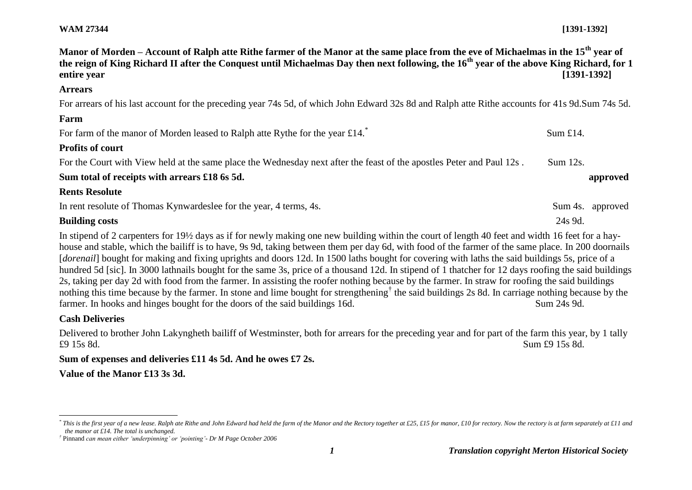## **WAM 27344 [1391-1392]**

| Manor of Morden – Account of Ralph atte Rithe farmer of the Manor at the same place from the eve of Michaelmas in the 15 <sup>th</sup> year of<br>the reign of King Richard II after the Conquest until Michaelmas Day then next following, the 16 <sup>th</sup> year of the above King Richard, for 1<br>entire year                                                                                                                                                                                                                                                                                                                                                                                                                                                                                                                                                                                                                                                                                                             | $[1391-1392]$    |
|-----------------------------------------------------------------------------------------------------------------------------------------------------------------------------------------------------------------------------------------------------------------------------------------------------------------------------------------------------------------------------------------------------------------------------------------------------------------------------------------------------------------------------------------------------------------------------------------------------------------------------------------------------------------------------------------------------------------------------------------------------------------------------------------------------------------------------------------------------------------------------------------------------------------------------------------------------------------------------------------------------------------------------------|------------------|
| <b>Arrears</b>                                                                                                                                                                                                                                                                                                                                                                                                                                                                                                                                                                                                                                                                                                                                                                                                                                                                                                                                                                                                                    |                  |
| For arrears of his last account for the preceding year 74s 5d, of which John Edward 32s 8d and Ralph atte Rithe accounts for 41s 9d. Sum 74s 5d.                                                                                                                                                                                                                                                                                                                                                                                                                                                                                                                                                                                                                                                                                                                                                                                                                                                                                  |                  |
| Farm                                                                                                                                                                                                                                                                                                                                                                                                                                                                                                                                                                                                                                                                                                                                                                                                                                                                                                                                                                                                                              |                  |
| For farm of the manor of Morden leased to Ralph atte Rythe for the year $£14.^*$                                                                                                                                                                                                                                                                                                                                                                                                                                                                                                                                                                                                                                                                                                                                                                                                                                                                                                                                                  | Sum $£14.$       |
| <b>Profits of court</b>                                                                                                                                                                                                                                                                                                                                                                                                                                                                                                                                                                                                                                                                                                                                                                                                                                                                                                                                                                                                           |                  |
| For the Court with View held at the same place the Wednesday next after the feast of the apostles Peter and Paul 12s.                                                                                                                                                                                                                                                                                                                                                                                                                                                                                                                                                                                                                                                                                                                                                                                                                                                                                                             | Sum 12s.         |
| Sum total of receipts with arrears £18 6s 5d.                                                                                                                                                                                                                                                                                                                                                                                                                                                                                                                                                                                                                                                                                                                                                                                                                                                                                                                                                                                     | approved         |
| <b>Rents Resolute</b>                                                                                                                                                                                                                                                                                                                                                                                                                                                                                                                                                                                                                                                                                                                                                                                                                                                                                                                                                                                                             |                  |
| In rent resolute of Thomas Kynwardeslee for the year, 4 terms, 4s.                                                                                                                                                                                                                                                                                                                                                                                                                                                                                                                                                                                                                                                                                                                                                                                                                                                                                                                                                                | Sum 4s. approved |
| <b>Building costs</b>                                                                                                                                                                                                                                                                                                                                                                                                                                                                                                                                                                                                                                                                                                                                                                                                                                                                                                                                                                                                             | 24s 9d.          |
| In stipend of 2 carpenters for 19½ days as if for newly making one new building within the court of length 40 feet and width 16 feet for a hay-<br>house and stable, which the bailiff is to have, 9s 9d, taking between them per day 6d, with food of the farmer of the same place. In 200 doornails<br>[dorenail] bought for making and fixing uprights and doors 12d. In 1500 laths bought for covering with laths the said buildings 5s, price of a<br>hundred 5d [sic]. In 3000 lathnails bought for the same 3s, price of a thousand 12d. In stipend of 1 thatcher for 12 days roofing the said buildings<br>2s, taking per day 2d with food from the farmer. In assisting the roofer nothing because by the farmer. In straw for roofing the said buildings<br>nothing this time because by the farmer. In stone and lime bought for strengthening <sup>†</sup> the said buildings 2s 8d. In carriage nothing because by the<br>farmer. In hooks and hinges bought for the doors of the said buildings 16d.<br>Sum 24s 9d. |                  |
| <b>Cash Deliveries</b>                                                                                                                                                                                                                                                                                                                                                                                                                                                                                                                                                                                                                                                                                                                                                                                                                                                                                                                                                                                                            |                  |
| Delivered to brother John Lakyngheth bailiff of Westminster, both for arrears for the preceding year and for part of the farm this year, by 1 tally<br>£9 15s 8d.                                                                                                                                                                                                                                                                                                                                                                                                                                                                                                                                                                                                                                                                                                                                                                                                                                                                 | Sum £9 15s 8d.   |

## **Sum of expenses and deliveries £11 4s 5d. And he owes £7 2s.**

**Value of the Manor £13 3s 3d.**

l

<sup>\*</sup> This is the first year of a new lease. Ralph ate Rithe and John Edward had held the farm of the Manor and the Rectory together at £25, £15 for manor, £10 for rectory. Now the rectory is at farm separately at £11 and *the manor at £14. The total is unchanged.*

*<sup>†</sup>* Pinnand *can mean either 'underpinning' or 'pointing'- Dr M Page October 2006*